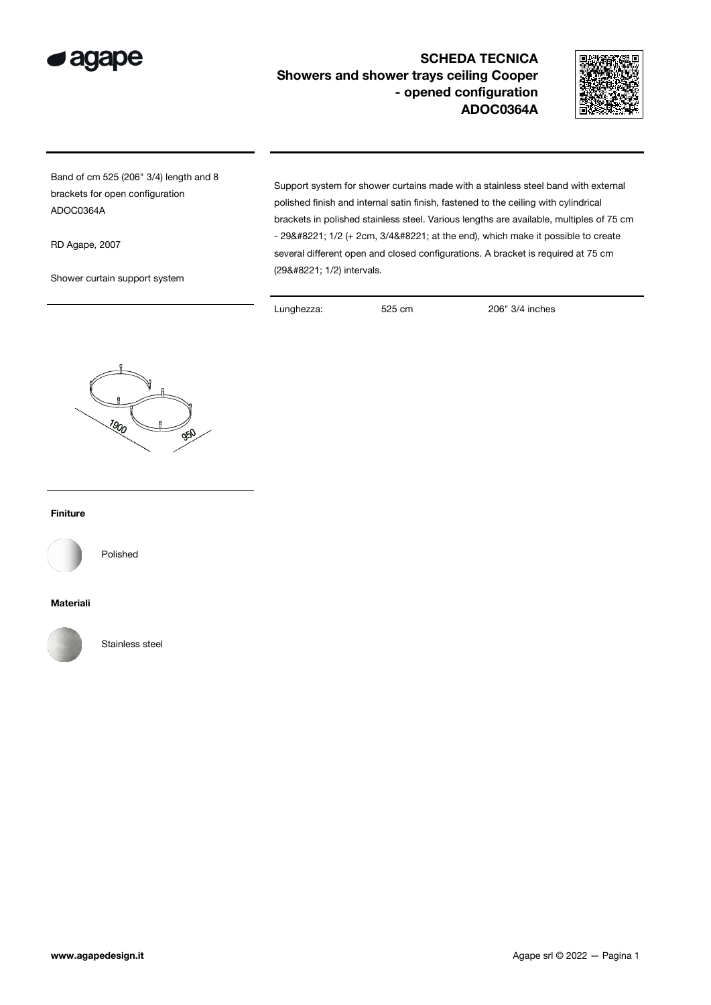

## SCHEDA TECNICA Showers and shower trays ceiling Cooper - opened configuration ADOC0364A



Band of cm 525 (206" 3/4) length and 8 brackets for open configuration ADOC0364A

RD Agape, 2007

Shower curtain support system

Support system for shower curtains made with a stainless steel band with external polished finish and internal satin finish, fastened to the ceiling with cylindrical brackets in polished stainless steel. Various lengths are available, multiples of 75 cm  $-$  29" 1/2 (+ 2cm, 3/4" at the end), which make it possible to create several different open and closed configurations. A bracket is required at 75 cm (29" 1/2) intervals.

Lunghezza: 525 cm 206" 3/4 inches



## Finiture



Polished

## Materiali



Stainless steel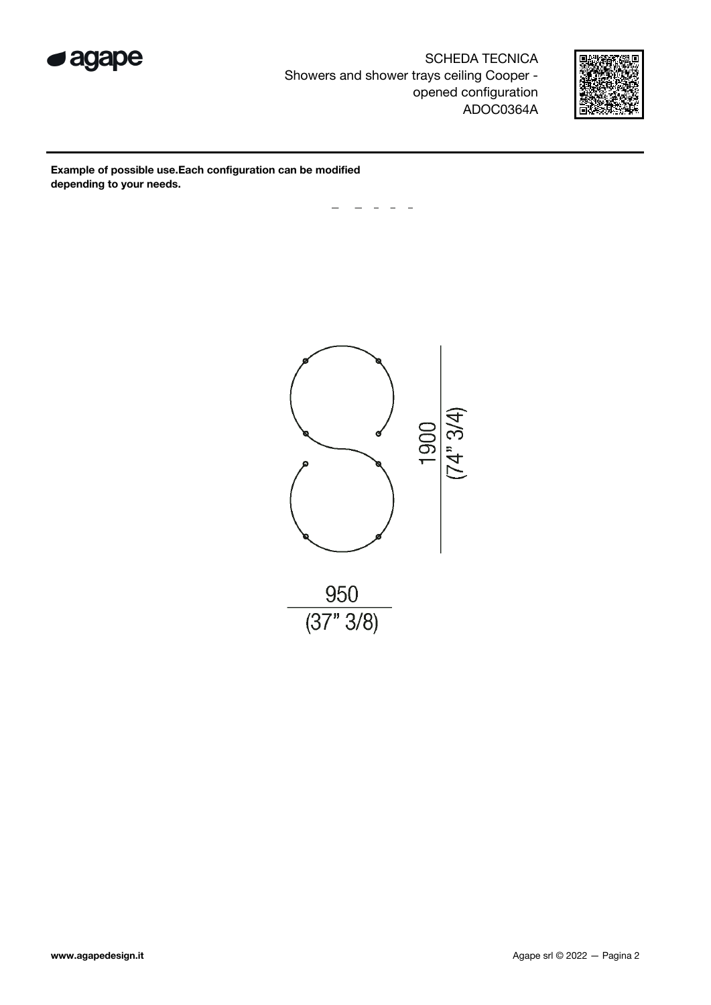

SCHEDA TECNICA Showers and shower trays ceiling Cooper opened configuration ADOC0364A



Example of possible use.Each configuration can be modified depending to your needs.

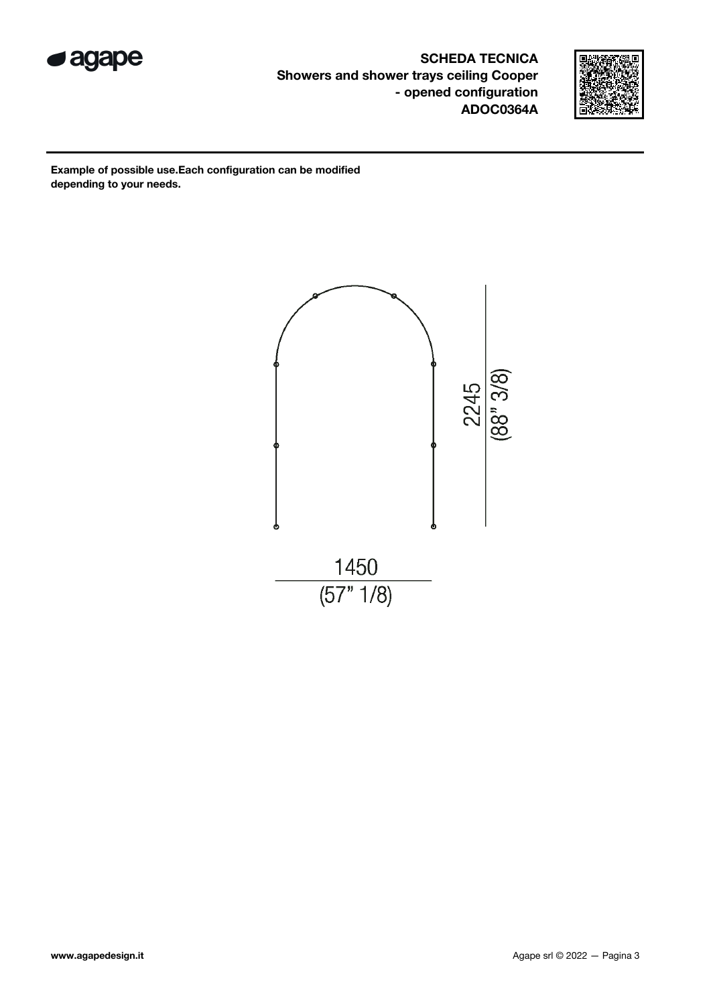

SCHEDA TECNICA Showers and shower trays ceiling Cooper - opened configuration ADOC0364A



Example of possible use.Each configuration can be modified depending to your needs.